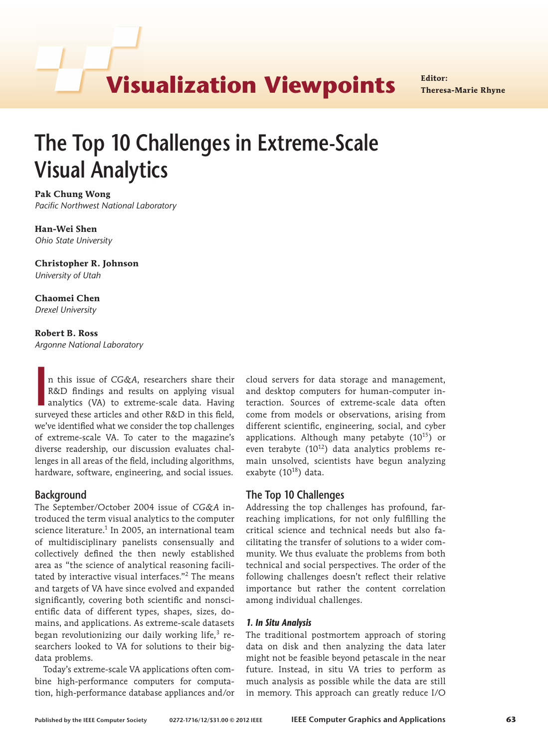# **Visualization Viewpoints Editor:**

**Theresa-Marie Rhyne**

# **The Top 10 Challenges in Extreme-Scale Visual Analytics**

**Pak Chung Wong** *Pacific Northwest National Laboratory*

**Han-Wei Shen** *Ohio State University*

**Christopher R. Johnson** *University of Utah*

**Chaomei Chen** *Drexel University*

**Robert B. Ross** *Argonne National Laboratory*

In this issue of *CG&A*, researchers share their<br>
R&D findings and results on applying visual<br>
analytics (VA) to extreme-scale data. Having<br>
surveyed these articles and other R&D in this field, n this issue of *CG&A*, researchers share their R&D findings and results on applying visual analytics (VA) to extreme-scale data. Having we've identified what we consider the top challenges of extreme-scale VA. To cater to the magazine's diverse readership, our discussion evaluates challenges in all areas of the field, including algorithms, hardware, software, engineering, and social issues.

# **Background**

The September/October 2004 issue of *CG&A* introduced the term visual analytics to the computer science literature.<sup>1</sup> In 2005, an international team of multidisciplinary panelists consensually and collectively defined the then newly established area as "the science of analytical reasoning facilitated by interactive visual interfaces."<sup>2</sup> The means and targets of VA have since evolved and expanded significantly, covering both scientific and nonscientific data of different types, shapes, sizes, domains, and applications. As extreme-scale datasets began revolutionizing our daily working life,<sup>3</sup> researchers looked to VA for solutions to their bigdata problems.

Today's extreme-scale VA applications often combine high-performance computers for computation, high-performance database appliances and/or cloud servers for data storage and management, and desktop computers for human-computer interaction. Sources of extreme-scale data often come from models or observations, arising from different scientific, engineering, social, and cyber applications. Although many petabyte  $(10^{15})$  or even terabyte  $(10^{12})$  data analytics problems remain unsolved, scientists have begun analyzing exabyte  $(10^{18})$  data.

# **The Top 10 Challenges**

Addressing the top challenges has profound, farreaching implications, for not only fulfilling the critical science and technical needs but also facilitating the transfer of solutions to a wider community. We thus evaluate the problems from both technical and social perspectives. The order of the following challenges doesn't reflect their relative importance but rather the content correlation among individual challenges.

#### *1. In Situ Analysis*

The traditional postmortem approach of storing data on disk and then analyzing the data later might not be feasible beyond petascale in the near future. Instead, in situ VA tries to perform as much analysis as possible while the data are still in memory. This approach can greatly reduce I/O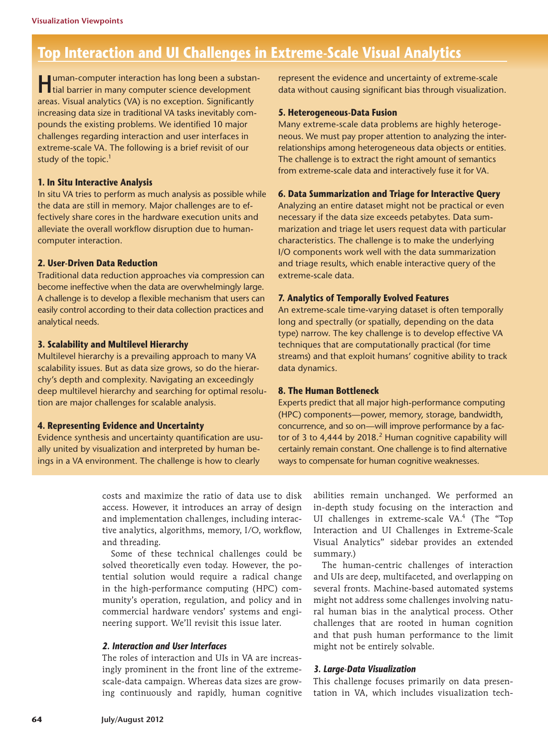# **Top Interaction and UI Challenges in Extreme-Scale Visual Analytics**

**Human-computer interaction has long been a substan-**<br>**Here** in many computer science development areas. Visual analytics (VA) is no exception. Significantly increasing data size in traditional VA tasks inevitably compounds the existing problems. We identified 10 major challenges regarding interaction and user interfaces in extreme-scale VA. The following is a brief revisit of our study of the topic. $<sup>1</sup>$ </sup>

## **1. In Situ Interactive Analysis**

In situ VA tries to perform as much analysis as possible while the data are still in memory. Major challenges are to effectively share cores in the hardware execution units and alleviate the overall workflow disruption due to humancomputer interaction.

# **2. User-Driven Data Reduction**

Traditional data reduction approaches via compression can become ineffective when the data are overwhelmingly large. A challenge is to develop a flexible mechanism that users can easily control according to their data collection practices and analytical needs.

# **3. Scalability and Multilevel Hierarchy**

Multilevel hierarchy is a prevailing approach to many VA scalability issues. But as data size grows, so do the hierarchy's depth and complexity. Navigating an exceedingly deep multilevel hierarchy and searching for optimal resolution are major challenges for scalable analysis.

#### **4. Representing Evidence and Uncertainty**

Evidence synthesis and uncertainty quantification are usually united by visualization and interpreted by human beings in a VA environment. The challenge is how to clearly

represent the evidence and uncertainty of extreme-scale data without causing significant bias through visualization.

# **5. Heterogeneous-Data Fusion**

Many extreme-scale data problems are highly heterogeneous. We must pay proper attention to analyzing the interrelationships among heterogeneous data objects or entities. The challenge is to extract the right amount of semantics from extreme-scale data and interactively fuse it for VA.

#### **6. Data Summarization and Triage for Interactive Query**

Analyzing an entire dataset might not be practical or even necessary if the data size exceeds petabytes. Data summarization and triage let users request data with particular characteristics. The challenge is to make the underlying I/O components work well with the data summarization and triage results, which enable interactive query of the extreme-scale data.

# **7. Analytics of Temporally Evolved Features**

An extreme-scale time-varying dataset is often temporally long and spectrally (or spatially, depending on the data type) narrow. The key challenge is to develop effective VA techniques that are computationally practical (for time streams) and that exploit humans' cognitive ability to track data dynamics.

#### **8. The Human Bottleneck**

Experts predict that all major high-performance computing (HPC) components—power, memory, storage, bandwidth, concurrence, and so on—will improve performance by a factor of 3 to 4,444 by 2018.<sup>2</sup> Human cognitive capability will certainly remain constant. One challenge is to find alternative ways to compensate for human cognitive weaknesses.

costs and maximize the ratio of data use to disk access. However, it introduces an array of design and implementation challenges, including interactive analytics, algorithms, memory, I/O, workflow, and threading.

Some of these technical challenges could be solved theoretically even today. However, the potential solution would require a radical change in the high-performance computing (HPC) community's operation, regulation, and policy and in commercial hardware vendors' systems and engineering support. We'll revisit this issue later.

## *2. Interaction and User Interfaces*

The roles of interaction and UIs in VA are increasingly prominent in the front line of the extremescale-data campaign. Whereas data sizes are growing continuously and rapidly, human cognitive

abilities remain unchanged. We performed an in-depth study focusing on the interaction and UI challenges in extreme-scale VA.<sup>4</sup> (The "Top Interaction and UI Challenges in Extreme-Scale Visual Analytics" sidebar provides an extended summary.)

The human-centric challenges of interaction and UIs are deep, multifaceted, and overlapping on several fronts. Machine-based automated systems might not address some challenges involving natural human bias in the analytical process. Other challenges that are rooted in human cognition and that push human performance to the limit might not be entirely solvable.

#### *3. Large-Data Visualization*

This challenge focuses primarily on data presentation in VA, which includes visualization tech-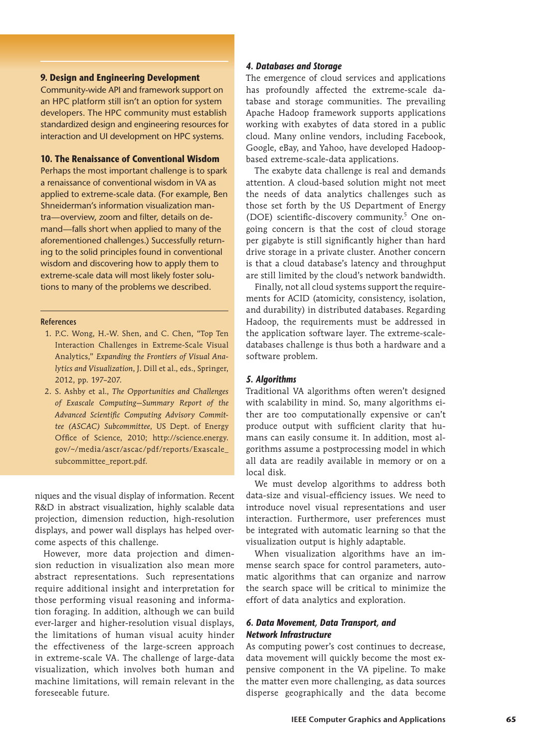#### **9. Design and Engineering Development**

Community-wide API and framework support on an HPC platform still isn't an option for system developers. The HPC community must establish standardized design and engineering resources for interaction and UI development on HPC systems.

## **10. The Renaissance of Conventional Wisdom**

Perhaps the most important challenge is to spark a renaissance of conventional wisdom in VA as applied to extreme-scale data. (For example, Ben Shneiderman's information visualization mantra—overview, zoom and filter, details on demand—falls short when applied to many of the aforementioned challenges.) Successfully returning to the solid principles found in conventional wisdom and discovering how to apply them to extreme-scale data will most likely foster solutions to many of the problems we described.

#### **References**

- 1. P.C. Wong, H.-W. Shen, and C. Chen, "Top Ten Interaction Challenges in Extreme-Scale Visual Analytics," *Expanding the Frontiers of Visual Analytics and Visualization*, J. Dill et al., eds., Springer, 2012, pp. 197–207.
- 2. S. Ashby et al., *The Opportunities and Challenges of Exascale Computing—Summary Report of the Advanced Scientific Computing Advisory Committee (ASCAC) Subcommittee*, US Dept. of Energy Office of Science, 2010; http://science.energy. gov/~/media/ascr/ascac/pdf/reports/Exascale\_ subcommittee\_report.pdf.

niques and the visual display of information. Recent R&D in abstract visualization, highly scalable data projection, dimension reduction, high-resolution displays, and power wall displays has helped overcome aspects of this challenge.

However, more data projection and dimension reduction in visualization also mean more abstract representations. Such representations require additional insight and interpretation for those performing visual reasoning and information foraging. In addition, although we can build ever-larger and higher-resolution visual displays, the limitations of human visual acuity hinder the effectiveness of the large-screen approach in extreme-scale VA. The challenge of large-data visualization, which involves both human and machine limitations, will remain relevant in the foreseeable future.

# *4. Databases and Storage*

The emergence of cloud services and applications has profoundly affected the extreme-scale database and storage communities. The prevailing Apache Hadoop framework supports applications working with exabytes of data stored in a public cloud. Many online vendors, including Facebook, Google, eBay, and Yahoo, have developed Hadoopbased extreme-scale-data applications.

The exabyte data challenge is real and demands attention. A cloud-based solution might not meet the needs of data analytics challenges such as those set forth by the US Department of Energy (DOE) scientific-discovery community.<sup>5</sup> One ongoing concern is that the cost of cloud storage per gigabyte is still significantly higher than hard drive storage in a private cluster. Another concern is that a cloud database's latency and throughput are still limited by the cloud's network bandwidth.

Finally, not all cloud systems support the requirements for ACID (atomicity, consistency, isolation, and durability) in distributed databases. Regarding Hadoop, the requirements must be addressed in the application software layer. The extreme-scaledatabases challenge is thus both a hardware and a software problem.

#### *5. Algorithms*

Traditional VA algorithms often weren't designed with scalability in mind. So, many algorithms either are too computationally expensive or can't produce output with sufficient clarity that humans can easily consume it. In addition, most algorithms assume a postprocessing model in which all data are readily available in memory or on a local disk.

We must develop algorithms to address both data-size and visual-efficiency issues. We need to introduce novel visual representations and user interaction. Furthermore, user preferences must be integrated with automatic learning so that the visualization output is highly adaptable.

When visualization algorithms have an immense search space for control parameters, automatic algorithms that can organize and narrow the search space will be critical to minimize the effort of data analytics and exploration.

# *6. Data Movement, Data Transport, and Network Infrastructure*

As computing power's cost continues to decrease, data movement will quickly become the most expensive component in the VA pipeline. To make the matter even more challenging, as data sources disperse geographically and the data become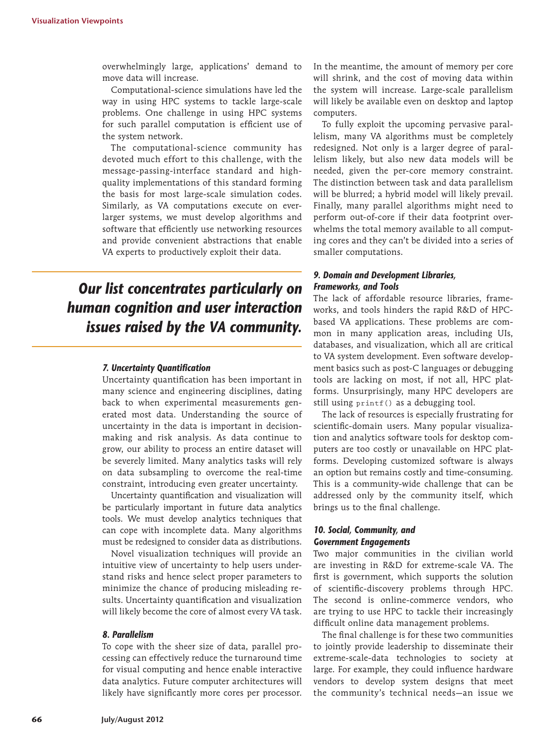overwhelmingly large, applications' demand to move data will increase.

Computational-science simulations have led the way in using HPC systems to tackle large-scale problems. One challenge in using HPC systems for such parallel computation is efficient use of the system network.

The computational-science community has devoted much effort to this challenge, with the message-passing-interface standard and highquality implementations of this standard forming the basis for most large-scale simulation codes. Similarly, as VA computations execute on everlarger systems, we must develop algorithms and software that efficiently use networking resources and provide convenient abstractions that enable VA experts to productively exploit their data.

# *Our list concentrates particularly on human cognition and user interaction issues raised by the VA community.*

#### *7. Uncertainty Quantification*

Uncertainty quantification has been important in many science and engineering disciplines, dating back to when experimental measurements generated most data. Understanding the source of uncertainty in the data is important in decisionmaking and risk analysis. As data continue to grow, our ability to process an entire dataset will be severely limited. Many analytics tasks will rely on data subsampling to overcome the real-time constraint, introducing even greater uncertainty.

Uncertainty quantification and visualization will be particularly important in future data analytics tools. We must develop analytics techniques that can cope with incomplete data. Many algorithms must be redesigned to consider data as distributions.

Novel visualization techniques will provide an intuitive view of uncertainty to help users understand risks and hence select proper parameters to minimize the chance of producing misleading results. Uncertainty quantification and visualization will likely become the core of almost every VA task.

#### *8. Parallelism*

To cope with the sheer size of data, parallel processing can effectively reduce the turnaround time for visual computing and hence enable interactive data analytics. Future computer architectures will likely have significantly more cores per processor.

In the meantime, the amount of memory per core will shrink, and the cost of moving data within the system will increase. Large-scale parallelism will likely be available even on desktop and laptop computers.

To fully exploit the upcoming pervasive parallelism, many VA algorithms must be completely redesigned. Not only is a larger degree of parallelism likely, but also new data models will be needed, given the per-core memory constraint. The distinction between task and data parallelism will be blurred; a hybrid model will likely prevail. Finally, many parallel algorithms might need to perform out-of-core if their data footprint overwhelms the total memory available to all computing cores and they can't be divided into a series of smaller computations.

# *9. Domain and Development Libraries, Frameworks, and Tools*

The lack of affordable resource libraries, frameworks, and tools hinders the rapid R&D of HPCbased VA applications. These problems are common in many application areas, including UIs, databases, and visualization, which all are critical to VA system development. Even software development basics such as post-C languages or debugging tools are lacking on most, if not all, HPC platforms. Unsurprisingly, many HPC developers are still using printf() as a debugging tool.

The lack of resources is especially frustrating for scientific-domain users. Many popular visualization and analytics software tools for desktop computers are too costly or unavailable on HPC platforms. Developing customized software is always an option but remains costly and time-consuming. This is a community-wide challenge that can be addressed only by the community itself, which brings us to the final challenge.

# *10. Social, Community, and Government Engagements*

Two major communities in the civilian world are investing in R&D for extreme-scale VA. The first is government, which supports the solution of scientific-discovery problems through HPC. The second is online-commerce vendors, who are trying to use HPC to tackle their increasingly difficult online data management problems.

The final challenge is for these two communities to jointly provide leadership to disseminate their extreme-scale-data technologies to society at large. For example, they could influence hardware vendors to develop system designs that meet the community's technical needs—an issue we